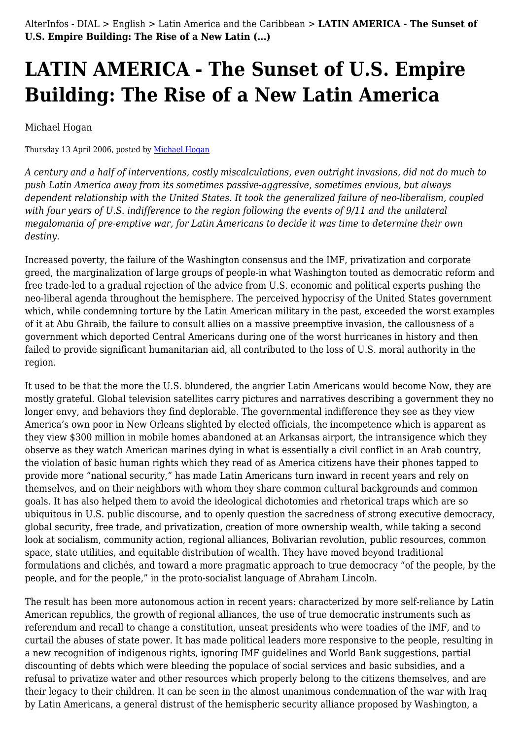# **LATIN AMERICA - The Sunset of U.S. Empire Building: The Rise of a New Latin America**

Michael Hogan

Thursday 13 April 2006, posted by [Michael Hogan](https://www.alterinfos.org/spip.php?auteur23)

*A century and a half of interventions, costly miscalculations, even outright invasions, did not do much to push Latin America away from its sometimes passive-aggressive, sometimes envious, but always dependent relationship with the United States. It took the generalized failure of neo-liberalism, coupled with four years of U.S. indifference to the region following the events of 9/11 and the unilateral megalomania of pre-emptive war, for Latin Americans to decide it was time to determine their own destiny.*

Increased poverty, the failure of the Washington consensus and the IMF, privatization and corporate greed, the marginalization of large groups of people-in what Washington touted as democratic reform and free trade-led to a gradual rejection of the advice from U.S. economic and political experts pushing the neo-liberal agenda throughout the hemisphere. The perceived hypocrisy of the United States government which, while condemning torture by the Latin American military in the past, exceeded the worst examples of it at Abu Ghraib, the failure to consult allies on a massive preemptive invasion, the callousness of a government which deported Central Americans during one of the worst hurricanes in history and then failed to provide significant humanitarian aid, all contributed to the loss of U.S. moral authority in the region.

It used to be that the more the U.S. blundered, the angrier Latin Americans would become Now, they are mostly grateful. Global television satellites carry pictures and narratives describing a government they no longer envy, and behaviors they find deplorable. The governmental indifference they see as they view America's own poor in New Orleans slighted by elected officials, the incompetence which is apparent as they view \$300 million in mobile homes abandoned at an Arkansas airport, the intransigence which they observe as they watch American marines dying in what is essentially a civil conflict in an Arab country, the violation of basic human rights which they read of as America citizens have their phones tapped to provide more "national security," has made Latin Americans turn inward in recent years and rely on themselves, and on their neighbors with whom they share common cultural backgrounds and common goals. It has also helped them to avoid the ideological dichotomies and rhetorical traps which are so ubiquitous in U.S. public discourse, and to openly question the sacredness of strong executive democracy, global security, free trade, and privatization, creation of more ownership wealth, while taking a second look at socialism, community action, regional alliances, Bolivarian revolution, public resources, common space, state utilities, and equitable distribution of wealth. They have moved beyond traditional formulations and clichés, and toward a more pragmatic approach to true democracy "of the people, by the people, and for the people," in the proto-socialist language of Abraham Lincoln.

The result has been more autonomous action in recent years: characterized by more self-reliance by Latin American republics, the growth of regional alliances, the use of true democratic instruments such as referendum and recall to change a constitution, unseat presidents who were toadies of the IMF, and to curtail the abuses of state power. It has made political leaders more responsive to the people, resulting in a new recognition of indigenous rights, ignoring IMF guidelines and World Bank suggestions, partial discounting of debts which were bleeding the populace of social services and basic subsidies, and a refusal to privatize water and other resources which properly belong to the citizens themselves, and are their legacy to their children. It can be seen in the almost unanimous condemnation of the war with Iraq by Latin Americans, a general distrust of the hemispheric security alliance proposed by Washington, a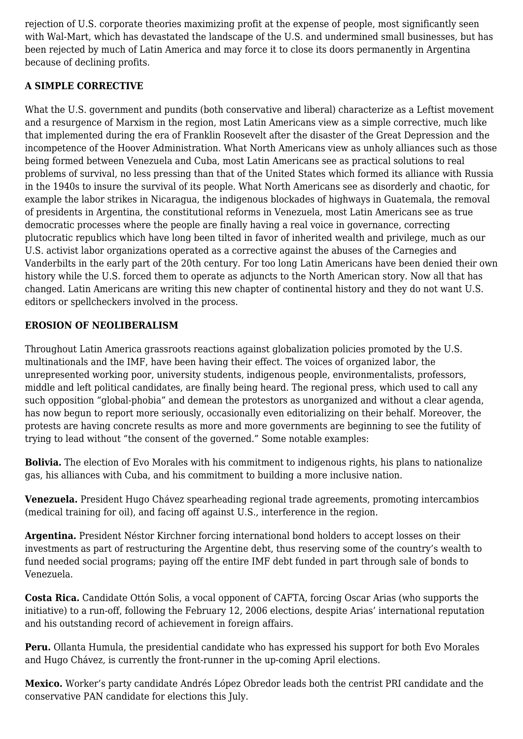rejection of U.S. corporate theories maximizing profit at the expense of people, most significantly seen with Wal-Mart, which has devastated the landscape of the U.S. and undermined small businesses, but has been rejected by much of Latin America and may force it to close its doors permanently in Argentina because of declining profits.

## **A SIMPLE CORRECTIVE**

What the U.S. government and pundits (both conservative and liberal) characterize as a Leftist movement and a resurgence of Marxism in the region, most Latin Americans view as a simple corrective, much like that implemented during the era of Franklin Roosevelt after the disaster of the Great Depression and the incompetence of the Hoover Administration. What North Americans view as unholy alliances such as those being formed between Venezuela and Cuba, most Latin Americans see as practical solutions to real problems of survival, no less pressing than that of the United States which formed its alliance with Russia in the 1940s to insure the survival of its people. What North Americans see as disorderly and chaotic, for example the labor strikes in Nicaragua, the indigenous blockades of highways in Guatemala, the removal of presidents in Argentina, the constitutional reforms in Venezuela, most Latin Americans see as true democratic processes where the people are finally having a real voice in governance, correcting plutocratic republics which have long been tilted in favor of inherited wealth and privilege, much as our U.S. activist labor organizations operated as a corrective against the abuses of the Carnegies and Vanderbilts in the early part of the 20th century. For too long Latin Americans have been denied their own history while the U.S. forced them to operate as adjuncts to the North American story. Now all that has changed. Latin Americans are writing this new chapter of continental history and they do not want U.S. editors or spellcheckers involved in the process.

# **EROSION OF NEOLIBERALISM**

Throughout Latin America grassroots reactions against globalization policies promoted by the U.S. multinationals and the IMF, have been having their effect. The voices of organized labor, the unrepresented working poor, university students, indigenous people, environmentalists, professors, middle and left political candidates, are finally being heard. The regional press, which used to call any such opposition "global-phobia" and demean the protestors as unorganized and without a clear agenda, has now begun to report more seriously, occasionally even editorializing on their behalf. Moreover, the protests are having concrete results as more and more governments are beginning to see the futility of trying to lead without "the consent of the governed." Some notable examples:

**Bolivia.** The election of Evo Morales with his commitment to indigenous rights, his plans to nationalize gas, his alliances with Cuba, and his commitment to building a more inclusive nation.

**Venezuela.** President Hugo Chávez spearheading regional trade agreements, promoting intercambios (medical training for oil), and facing off against U.S., interference in the region.

**Argentina.** President Néstor Kirchner forcing international bond holders to accept losses on their investments as part of restructuring the Argentine debt, thus reserving some of the country's wealth to fund needed social programs; paying off the entire IMF debt funded in part through sale of bonds to Venezuela.

**Costa Rica.** Candidate Ottón Solis, a vocal opponent of CAFTA, forcing Oscar Arias (who supports the initiative) to a run-off, following the February 12, 2006 elections, despite Arias' international reputation and his outstanding record of achievement in foreign affairs.

**Peru.** Ollanta Humula, the presidential candidate who has expressed his support for both Evo Morales and Hugo Chávez, is currently the front-runner in the up-coming April elections.

**Mexico.** Worker's party candidate Andrés López Obredor leads both the centrist PRI candidate and the conservative PAN candidate for elections this July.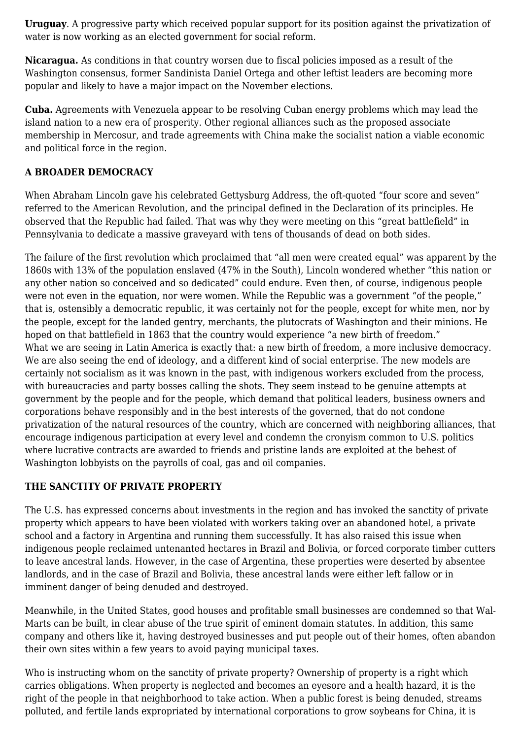**Uruguay**. A progressive party which received popular support for its position against the privatization of water is now working as an elected government for social reform.

**Nicaragua.** As conditions in that country worsen due to fiscal policies imposed as a result of the Washington consensus, former Sandinista Daniel Ortega and other leftist leaders are becoming more popular and likely to have a major impact on the November elections.

**Cuba.** Agreements with Venezuela appear to be resolving Cuban energy problems which may lead the island nation to a new era of prosperity. Other regional alliances such as the proposed associate membership in Mercosur, and trade agreements with China make the socialist nation a viable economic and political force in the region.

#### **A BROADER DEMOCRACY**

When Abraham Lincoln gave his celebrated Gettysburg Address, the oft-quoted "four score and seven" referred to the American Revolution, and the principal defined in the Declaration of its principles. He observed that the Republic had failed. That was why they were meeting on this "great battlefield" in Pennsylvania to dedicate a massive graveyard with tens of thousands of dead on both sides.

The failure of the first revolution which proclaimed that "all men were created equal" was apparent by the 1860s with 13% of the population enslaved (47% in the South), Lincoln wondered whether "this nation or any other nation so conceived and so dedicated" could endure. Even then, of course, indigenous people were not even in the equation, nor were women. While the Republic was a government "of the people," that is, ostensibly a democratic republic, it was certainly not for the people, except for white men, nor by the people, except for the landed gentry, merchants, the plutocrats of Washington and their minions. He hoped on that battlefield in 1863 that the country would experience "a new birth of freedom." What we are seeing in Latin America is exactly that: a new birth of freedom, a more inclusive democracy. We are also seeing the end of ideology, and a different kind of social enterprise. The new models are certainly not socialism as it was known in the past, with indigenous workers excluded from the process, with bureaucracies and party bosses calling the shots. They seem instead to be genuine attempts at government by the people and for the people, which demand that political leaders, business owners and corporations behave responsibly and in the best interests of the governed, that do not condone privatization of the natural resources of the country, which are concerned with neighboring alliances, that encourage indigenous participation at every level and condemn the cronyism common to U.S. politics where lucrative contracts are awarded to friends and pristine lands are exploited at the behest of Washington lobbyists on the payrolls of coal, gas and oil companies.

#### **THE SANCTITY OF PRIVATE PROPERTY**

The U.S. has expressed concerns about investments in the region and has invoked the sanctity of private property which appears to have been violated with workers taking over an abandoned hotel, a private school and a factory in Argentina and running them successfully. It has also raised this issue when indigenous people reclaimed untenanted hectares in Brazil and Bolivia, or forced corporate timber cutters to leave ancestral lands. However, in the case of Argentina, these properties were deserted by absentee landlords, and in the case of Brazil and Bolivia, these ancestral lands were either left fallow or in imminent danger of being denuded and destroyed.

Meanwhile, in the United States, good houses and profitable small businesses are condemned so that Wal-Marts can be built, in clear abuse of the true spirit of eminent domain statutes. In addition, this same company and others like it, having destroyed businesses and put people out of their homes, often abandon their own sites within a few years to avoid paying municipal taxes.

Who is instructing whom on the sanctity of private property? Ownership of property is a right which carries obligations. When property is neglected and becomes an eyesore and a health hazard, it is the right of the people in that neighborhood to take action. When a public forest is being denuded, streams polluted, and fertile lands expropriated by international corporations to grow soybeans for China, it is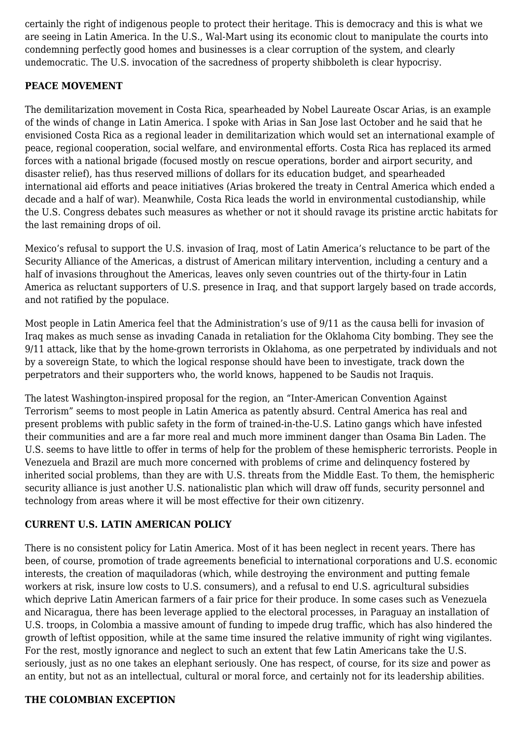certainly the right of indigenous people to protect their heritage. This is democracy and this is what we are seeing in Latin America. In the U.S., Wal-Mart using its economic clout to manipulate the courts into condemning perfectly good homes and businesses is a clear corruption of the system, and clearly undemocratic. The U.S. invocation of the sacredness of property shibboleth is clear hypocrisy.

## **PEACE MOVEMENT**

The demilitarization movement in Costa Rica, spearheaded by Nobel Laureate Oscar Arias, is an example of the winds of change in Latin America. I spoke with Arias in San Jose last October and he said that he envisioned Costa Rica as a regional leader in demilitarization which would set an international example of peace, regional cooperation, social welfare, and environmental efforts. Costa Rica has replaced its armed forces with a national brigade (focused mostly on rescue operations, border and airport security, and disaster relief), has thus reserved millions of dollars for its education budget, and spearheaded international aid efforts and peace initiatives (Arias brokered the treaty in Central America which ended a decade and a half of war). Meanwhile, Costa Rica leads the world in environmental custodianship, while the U.S. Congress debates such measures as whether or not it should ravage its pristine arctic habitats for the last remaining drops of oil.

Mexico's refusal to support the U.S. invasion of Iraq, most of Latin America's reluctance to be part of the Security Alliance of the Americas, a distrust of American military intervention, including a century and a half of invasions throughout the Americas, leaves only seven countries out of the thirty-four in Latin America as reluctant supporters of U.S. presence in Iraq, and that support largely based on trade accords, and not ratified by the populace.

Most people in Latin America feel that the Administration's use of 9/11 as the causa belli for invasion of Iraq makes as much sense as invading Canada in retaliation for the Oklahoma City bombing. They see the 9/11 attack, like that by the home-grown terrorists in Oklahoma, as one perpetrated by individuals and not by a sovereign State, to which the logical response should have been to investigate, track down the perpetrators and their supporters who, the world knows, happened to be Saudis not Iraquis.

The latest Washington-inspired proposal for the region, an "Inter-American Convention Against Terrorism" seems to most people in Latin America as patently absurd. Central America has real and present problems with public safety in the form of trained-in-the-U.S. Latino gangs which have infested their communities and are a far more real and much more imminent danger than Osama Bin Laden. The U.S. seems to have little to offer in terms of help for the problem of these hemispheric terrorists. People in Venezuela and Brazil are much more concerned with problems of crime and delinquency fostered by inherited social problems, than they are with U.S. threats from the Middle East. To them, the hemispheric security alliance is just another U.S. nationalistic plan which will draw off funds, security personnel and technology from areas where it will be most effective for their own citizenry.

## **CURRENT U.S. LATIN AMERICAN POLICY**

There is no consistent policy for Latin America. Most of it has been neglect in recent years. There has been, of course, promotion of trade agreements beneficial to international corporations and U.S. economic interests, the creation of maquiladoras (which, while destroying the environment and putting female workers at risk, insure low costs to U.S. consumers), and a refusal to end U.S. agricultural subsidies which deprive Latin American farmers of a fair price for their produce. In some cases such as Venezuela and Nicaragua, there has been leverage applied to the electoral processes, in Paraguay an installation of U.S. troops, in Colombia a massive amount of funding to impede drug traffic, which has also hindered the growth of leftist opposition, while at the same time insured the relative immunity of right wing vigilantes. For the rest, mostly ignorance and neglect to such an extent that few Latin Americans take the U.S. seriously, just as no one takes an elephant seriously. One has respect, of course, for its size and power as an entity, but not as an intellectual, cultural or moral force, and certainly not for its leadership abilities.

#### **THE COLOMBIAN EXCEPTION**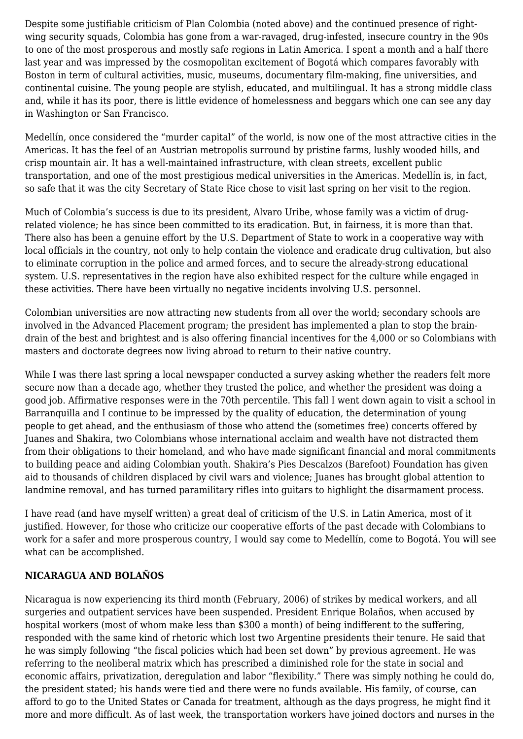Despite some justifiable criticism of Plan Colombia (noted above) and the continued presence of rightwing security squads, Colombia has gone from a war-ravaged, drug-infested, insecure country in the 90s to one of the most prosperous and mostly safe regions in Latin America. I spent a month and a half there last year and was impressed by the cosmopolitan excitement of Bogotá which compares favorably with Boston in term of cultural activities, music, museums, documentary film-making, fine universities, and continental cuisine. The young people are stylish, educated, and multilingual. It has a strong middle class and, while it has its poor, there is little evidence of homelessness and beggars which one can see any day in Washington or San Francisco.

Medellín, once considered the "murder capital" of the world, is now one of the most attractive cities in the Americas. It has the feel of an Austrian metropolis surround by pristine farms, lushly wooded hills, and crisp mountain air. It has a well-maintained infrastructure, with clean streets, excellent public transportation, and one of the most prestigious medical universities in the Americas. Medellín is, in fact, so safe that it was the city Secretary of State Rice chose to visit last spring on her visit to the region.

Much of Colombia's success is due to its president, Alvaro Uribe, whose family was a victim of drugrelated violence; he has since been committed to its eradication. But, in fairness, it is more than that. There also has been a genuine effort by the U.S. Department of State to work in a cooperative way with local officials in the country, not only to help contain the violence and eradicate drug cultivation, but also to eliminate corruption in the police and armed forces, and to secure the already-strong educational system. U.S. representatives in the region have also exhibited respect for the culture while engaged in these activities. There have been virtually no negative incidents involving U.S. personnel.

Colombian universities are now attracting new students from all over the world; secondary schools are involved in the Advanced Placement program; the president has implemented a plan to stop the braindrain of the best and brightest and is also offering financial incentives for the 4,000 or so Colombians with masters and doctorate degrees now living abroad to return to their native country.

While I was there last spring a local newspaper conducted a survey asking whether the readers felt more secure now than a decade ago, whether they trusted the police, and whether the president was doing a good job. Affirmative responses were in the 70th percentile. This fall I went down again to visit a school in Barranquilla and I continue to be impressed by the quality of education, the determination of young people to get ahead, and the enthusiasm of those who attend the (sometimes free) concerts offered by Juanes and Shakira, two Colombians whose international acclaim and wealth have not distracted them from their obligations to their homeland, and who have made significant financial and moral commitments to building peace and aiding Colombian youth. Shakira's Pies Descalzos (Barefoot) Foundation has given aid to thousands of children displaced by civil wars and violence; Juanes has brought global attention to landmine removal, and has turned paramilitary rifles into guitars to highlight the disarmament process.

I have read (and have myself written) a great deal of criticism of the U.S. in Latin America, most of it justified. However, for those who criticize our cooperative efforts of the past decade with Colombians to work for a safer and more prosperous country, I would say come to Medellín, come to Bogotá. You will see what can be accomplished.

#### **NICARAGUA AND BOLAÑOS**

Nicaragua is now experiencing its third month (February, 2006) of strikes by medical workers, and all surgeries and outpatient services have been suspended. President Enrique Bolaños, when accused by hospital workers (most of whom make less than \$300 a month) of being indifferent to the suffering, responded with the same kind of rhetoric which lost two Argentine presidents their tenure. He said that he was simply following "the fiscal policies which had been set down" by previous agreement. He was referring to the neoliberal matrix which has prescribed a diminished role for the state in social and economic affairs, privatization, deregulation and labor "flexibility." There was simply nothing he could do, the president stated; his hands were tied and there were no funds available. His family, of course, can afford to go to the United States or Canada for treatment, although as the days progress, he might find it more and more difficult. As of last week, the transportation workers have joined doctors and nurses in the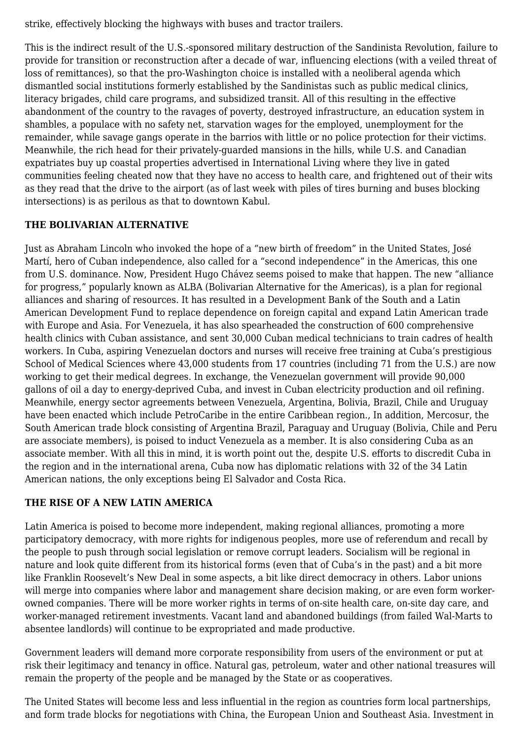strike, effectively blocking the highways with buses and tractor trailers.

This is the indirect result of the U.S.-sponsored military destruction of the Sandinista Revolution, failure to provide for transition or reconstruction after a decade of war, influencing elections (with a veiled threat of loss of remittances), so that the pro-Washington choice is installed with a neoliberal agenda which dismantled social institutions formerly established by the Sandinistas such as public medical clinics, literacy brigades, child care programs, and subsidized transit. All of this resulting in the effective abandonment of the country to the ravages of poverty, destroyed infrastructure, an education system in shambles, a populace with no safety net, starvation wages for the employed, unemployment for the remainder, while savage gangs operate in the barrios with little or no police protection for their victims. Meanwhile, the rich head for their privately-guarded mansions in the hills, while U.S. and Canadian expatriates buy up coastal properties advertised in International Living where they live in gated communities feeling cheated now that they have no access to health care, and frightened out of their wits as they read that the drive to the airport (as of last week with piles of tires burning and buses blocking intersections) is as perilous as that to downtown Kabul.

## **THE BOLIVARIAN ALTERNATIVE**

Just as Abraham Lincoln who invoked the hope of a "new birth of freedom" in the United States, José Martí, hero of Cuban independence, also called for a "second independence" in the Americas, this one from U.S. dominance. Now, President Hugo Chávez seems poised to make that happen. The new "alliance for progress," popularly known as ALBA (Bolivarian Alternative for the Americas), is a plan for regional alliances and sharing of resources. It has resulted in a Development Bank of the South and a Latin American Development Fund to replace dependence on foreign capital and expand Latin American trade with Europe and Asia. For Venezuela, it has also spearheaded the construction of 600 comprehensive health clinics with Cuban assistance, and sent 30,000 Cuban medical technicians to train cadres of health workers. In Cuba, aspiring Venezuelan doctors and nurses will receive free training at Cuba's prestigious School of Medical Sciences where 43,000 students from 17 countries (including 71 from the U.S.) are now working to get their medical degrees. In exchange, the Venezuelan government will provide 90,000 gallons of oil a day to energy-deprived Cuba, and invest in Cuban electricity production and oil refining. Meanwhile, energy sector agreements between Venezuela, Argentina, Bolivia, Brazil, Chile and Uruguay have been enacted which include PetroCaribe in the entire Caribbean region., In addition, Mercosur, the South American trade block consisting of Argentina Brazil, Paraguay and Uruguay (Bolivia, Chile and Peru are associate members), is poised to induct Venezuela as a member. It is also considering Cuba as an associate member. With all this in mind, it is worth point out the, despite U.S. efforts to discredit Cuba in the region and in the international arena, Cuba now has diplomatic relations with 32 of the 34 Latin American nations, the only exceptions being El Salvador and Costa Rica.

## **THE RISE OF A NEW LATIN AMERICA**

Latin America is poised to become more independent, making regional alliances, promoting a more participatory democracy, with more rights for indigenous peoples, more use of referendum and recall by the people to push through social legislation or remove corrupt leaders. Socialism will be regional in nature and look quite different from its historical forms (even that of Cuba's in the past) and a bit more like Franklin Roosevelt's New Deal in some aspects, a bit like direct democracy in others. Labor unions will merge into companies where labor and management share decision making, or are even form workerowned companies. There will be more worker rights in terms of on-site health care, on-site day care, and worker-managed retirement investments. Vacant land and abandoned buildings (from failed Wal-Marts to absentee landlords) will continue to be expropriated and made productive.

Government leaders will demand more corporate responsibility from users of the environment or put at risk their legitimacy and tenancy in office. Natural gas, petroleum, water and other national treasures will remain the property of the people and be managed by the State or as cooperatives.

The United States will become less and less influential in the region as countries form local partnerships, and form trade blocks for negotiations with China, the European Union and Southeast Asia. Investment in